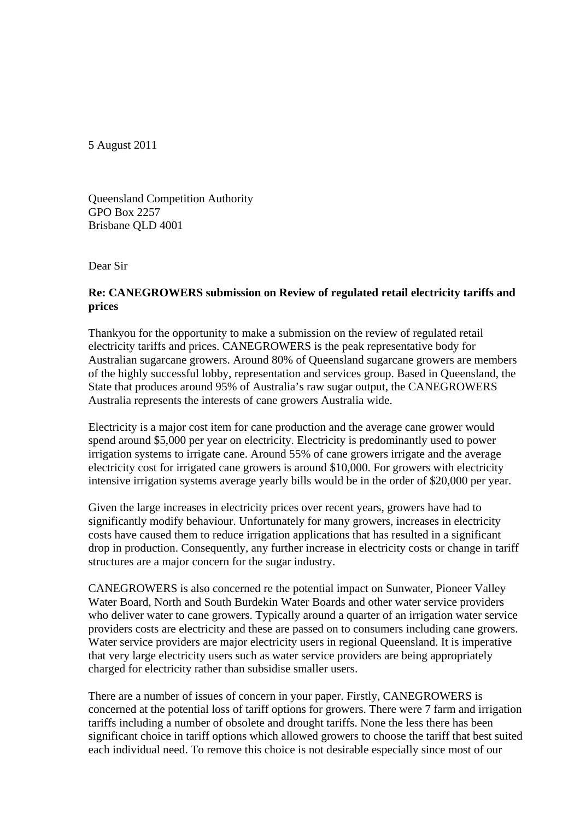5 August 2011

Queensland Competition Authority GPO Box 2257 Brisbane QLD 4001

Dear Sir

## **Re: CANEGROWERS submission on Review of regulated retail electricity tariffs and prices**

Thankyou for the opportunity to make a submission on the review of regulated retail electricity tariffs and prices. CANEGROWERS is the peak representative body for Australian sugarcane growers. Around 80% of Queensland sugarcane growers are members of the highly successful lobby, representation and services group. Based in Queensland, the State that produces around 95% of Australia's raw sugar output, the CANEGROWERS Australia represents the interests of cane growers Australia wide.

Electricity is a major cost item for cane production and the average cane grower would spend around \$5,000 per year on electricity. Electricity is predominantly used to power irrigation systems to irrigate cane. Around 55% of cane growers irrigate and the average electricity cost for irrigated cane growers is around \$10,000. For growers with electricity intensive irrigation systems average yearly bills would be in the order of \$20,000 per year.

Given the large increases in electricity prices over recent years, growers have had to significantly modify behaviour. Unfortunately for many growers, increases in electricity costs have caused them to reduce irrigation applications that has resulted in a significant drop in production. Consequently, any further increase in electricity costs or change in tariff structures are a major concern for the sugar industry.

CANEGROWERS is also concerned re the potential impact on Sunwater, Pioneer Valley Water Board, North and South Burdekin Water Boards and other water service providers who deliver water to cane growers. Typically around a quarter of an irrigation water service providers costs are electricity and these are passed on to consumers including cane growers. Water service providers are major electricity users in regional Queensland. It is imperative that very large electricity users such as water service providers are being appropriately charged for electricity rather than subsidise smaller users.

There are a number of issues of concern in your paper. Firstly, CANEGROWERS is concerned at the potential loss of tariff options for growers. There were 7 farm and irrigation tariffs including a number of obsolete and drought tariffs. None the less there has been significant choice in tariff options which allowed growers to choose the tariff that best suited each individual need. To remove this choice is not desirable especially since most of our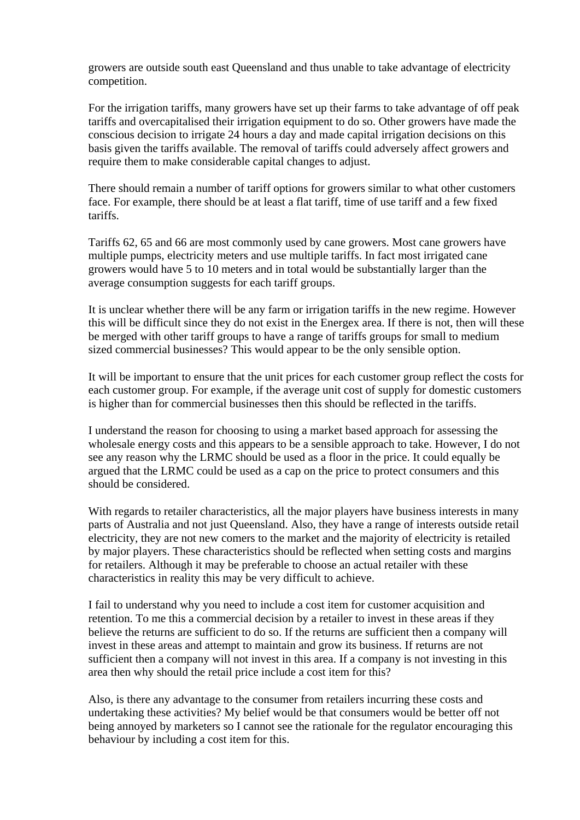growers are outside south east Queensland and thus unable to take advantage of electricity competition.

For the irrigation tariffs, many growers have set up their farms to take advantage of off peak tariffs and overcapitalised their irrigation equipment to do so. Other growers have made the conscious decision to irrigate 24 hours a day and made capital irrigation decisions on this basis given the tariffs available. The removal of tariffs could adversely affect growers and require them to make considerable capital changes to adjust.

There should remain a number of tariff options for growers similar to what other customers face. For example, there should be at least a flat tariff, time of use tariff and a few fixed tariffs.

Tariffs 62, 65 and 66 are most commonly used by cane growers. Most cane growers have multiple pumps, electricity meters and use multiple tariffs. In fact most irrigated cane growers would have 5 to 10 meters and in total would be substantially larger than the average consumption suggests for each tariff groups.

It is unclear whether there will be any farm or irrigation tariffs in the new regime. However this will be difficult since they do not exist in the Energex area. If there is not, then will these be merged with other tariff groups to have a range of tariffs groups for small to medium sized commercial businesses? This would appear to be the only sensible option.

It will be important to ensure that the unit prices for each customer group reflect the costs for each customer group. For example, if the average unit cost of supply for domestic customers is higher than for commercial businesses then this should be reflected in the tariffs.

I understand the reason for choosing to using a market based approach for assessing the wholesale energy costs and this appears to be a sensible approach to take. However, I do not see any reason why the LRMC should be used as a floor in the price. It could equally be argued that the LRMC could be used as a cap on the price to protect consumers and this should be considered.

With regards to retailer characteristics, all the major players have business interests in many parts of Australia and not just Queensland. Also, they have a range of interests outside retail electricity, they are not new comers to the market and the majority of electricity is retailed by major players. These characteristics should be reflected when setting costs and margins for retailers. Although it may be preferable to choose an actual retailer with these characteristics in reality this may be very difficult to achieve.

I fail to understand why you need to include a cost item for customer acquisition and retention. To me this a commercial decision by a retailer to invest in these areas if they believe the returns are sufficient to do so. If the returns are sufficient then a company will invest in these areas and attempt to maintain and grow its business. If returns are not sufficient then a company will not invest in this area. If a company is not investing in this area then why should the retail price include a cost item for this?

Also, is there any advantage to the consumer from retailers incurring these costs and undertaking these activities? My belief would be that consumers would be better off not being annoyed by marketers so I cannot see the rationale for the regulator encouraging this behaviour by including a cost item for this.